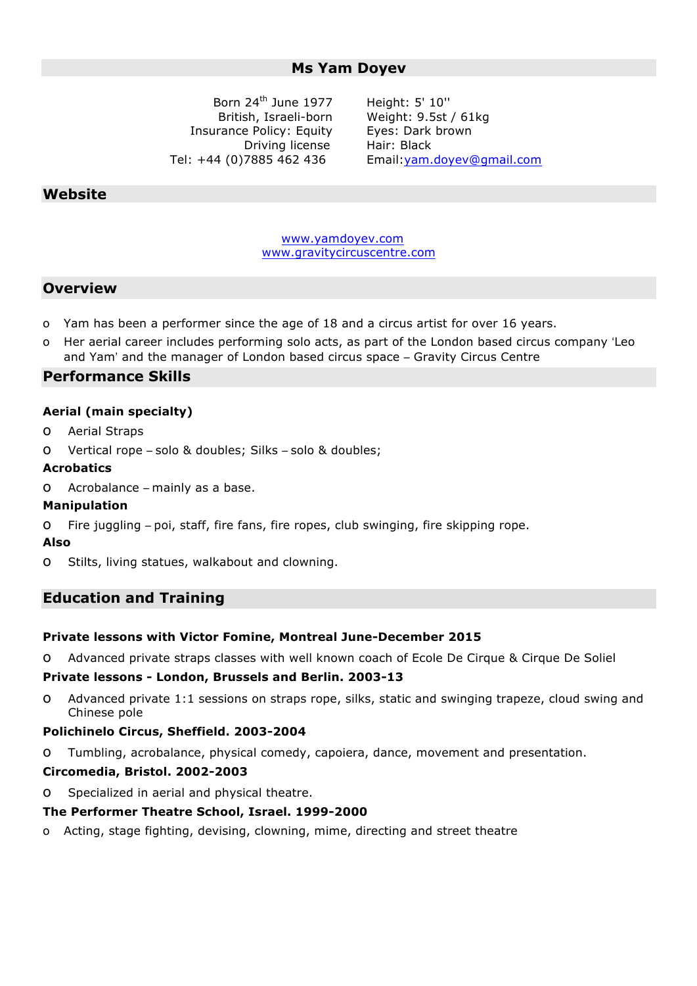## **Ms Yam Doyev**

Born 24th June 1977 British, Israeli-born Insurance Policy: Equity Driving license Tel: +44 (0)7885 462 436

Height: 5' 10'' Weight: 9.5st / 61kg Eyes: Dark brown Hair: Black Email:yam.doyev@gmail.com

## **Website**

www.yamdoyev.com www.gravitycircuscentre.com

## **Overview**

- o Yam has been a performer since the age of 18 and a circus artist for over 16 years.
- o Her aerial career includes performing solo acts, as part of the London based circus company 'Leo and Yam' and the manager of London based circus space – Gravity Circus Centre

## **Performance Skills**

#### **Aerial (main specialty)**

- o Aerial Straps
- o Vertical rope solo & doubles; Silks solo & doubles;

#### **Acrobatics**

o Acrobalance – mainly as a base.

### **Manipulation**

o Fire juggling – poi, staff, fire fans, fire ropes, club swinging, fire skipping rope.

#### **Also**

o Stilts, living statues, walkabout and clowning.

## **Education and Training**

#### **Private lessons with Victor Fomine, Montreal June-December 2015**

o Advanced private straps classes with well known coach of Ecole De Cirque & Cirque De Soliel

### **Private lessons - London, Brussels and Berlin. 2003-13**

o Advanced private 1:1 sessions on straps rope, silks, static and swinging trapeze, cloud swing and Chinese pole

#### **Polichinelo Circus, Sheffield. 2003-2004**

o Tumbling, acrobalance, physical comedy, capoiera, dance, movement and presentation.

#### **Circomedia, Bristol. 2002-2003**

o Specialized in aerial and physical theatre.

#### **The Performer Theatre School, Israel. 1999-2000**

o Acting, stage fighting, devising, clowning, mime, directing and street theatre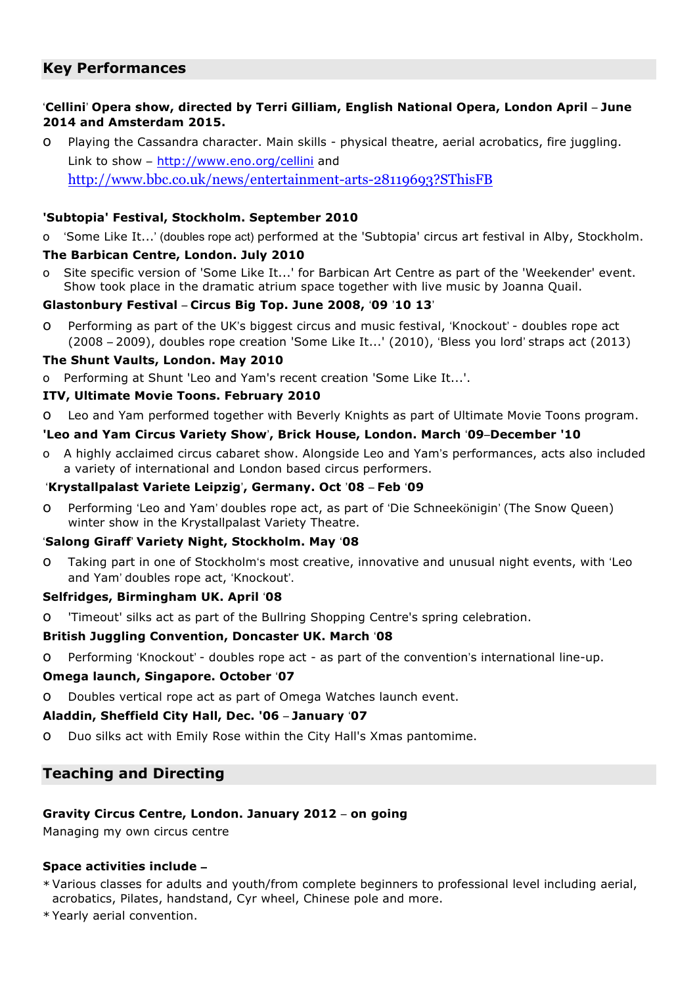# **Key Performances**

## '**Cellini**' **Opera show, directed by Terri Gilliam, English National Opera, London April** – **June 2014 and Amsterdam 2015.**

o Playing the Cassandra character. Main skills - physical theatre, aerial acrobatics, fire juggling. Link to show – http://www.eno.org/cellini and http://www.bbc.co.uk/news/entertainment-arts-28119693?SThisFB

## **'Subtopia' Festival, Stockholm. September 2010**

o 'Some Like It...' (doubles rope act) performed at the 'Subtopia' circus art festival in Alby, Stockholm.

### **The Barbican Centre, London. July 2010**

o Site specific version of 'Some Like It...' for Barbican Art Centre as part of the 'Weekender' event. Show took place in the dramatic atrium space together with live music by Joanna Quail.

### **Glastonbury Festival** – **Circus Big Top. June 2008,** '**09** '**10 13**'

o Performing as part of the UK's biggest circus and music festival, 'Knockout' - doubles rope act (2008 – 2009), doubles rope creation 'Some Like It...' (2010), 'Bless you lord' straps act (2013)

### **The Shunt Vaults, London. May 2010**

o Performing at Shunt 'Leo and Yam's recent creation 'Some Like It...'.

### **ITV, Ultimate Movie Toons. February 2010**

o Leo and Yam performed together with Beverly Knights as part of Ultimate Movie Toons program.

### **'Leo and Yam Circus Variety Show**'**, Brick House, London. March** '**09**–**December '10**

o A highly acclaimed circus cabaret show. Alongside Leo and Yam's performances, acts also included a variety of international and London based circus performers.

### '**Krystallpalast Variete Leipzig**'**, Germany. Oct** '**08** – **Feb** '**09**

o Performing 'Leo and Yam' doubles rope act, as part of 'Die Schneekönigin' (The Snow Queen) winter show in the Krystallpalast Variety Theatre.

### '**Salong Giraff**' **Variety Night, Stockholm. May** '**08**

o Taking part in one of Stockholm's most creative, innovative and unusual night events, with 'Leo and Yam' doubles rope act, 'Knockout'.

### **Selfridges, Birmingham UK. April** '**08**

o 'Timeout' silks act as part of the Bullring Shopping Centre's spring celebration.

### **British Juggling Convention, Doncaster UK. March** '**08**

o Performing 'Knockout' - doubles rope act - as part of the convention's international line-up.

### **Omega launch, Singapore. October** '**07**

o Doubles vertical rope act as part of Omega Watches launch event.

### **Aladdin, Sheffield City Hall, Dec. '06** – **January** '**07**

o Duo silks act with Emily Rose within the City Hall's Xmas pantomime.

# **Teaching and Directing**

## **Gravity Circus Centre, London. January 2012** – **on going**

Managing my own circus centre

## **Space activities include** –

- \* Various classes for adults and youth/from complete beginners to professional level including aerial, acrobatics, Pilates, handstand, Cyr wheel, Chinese pole and more.
- \* Yearly aerial convention.